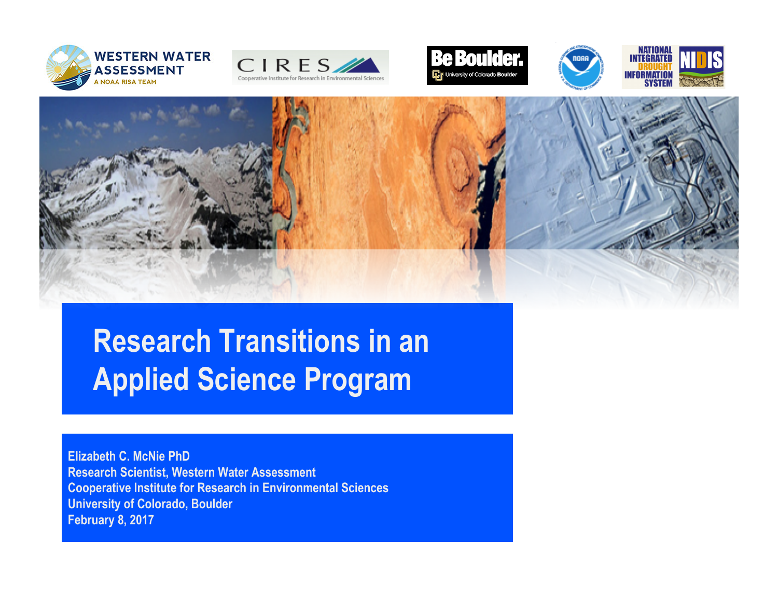











### **Research Transitions in an Applied Science Program**

 **Elizabeth C. McNie PhD Research Scientist, Western Water Assessment Cooperative Institute for Research in Environmental Sciences University of Colorado, Boulder February 8, 2017**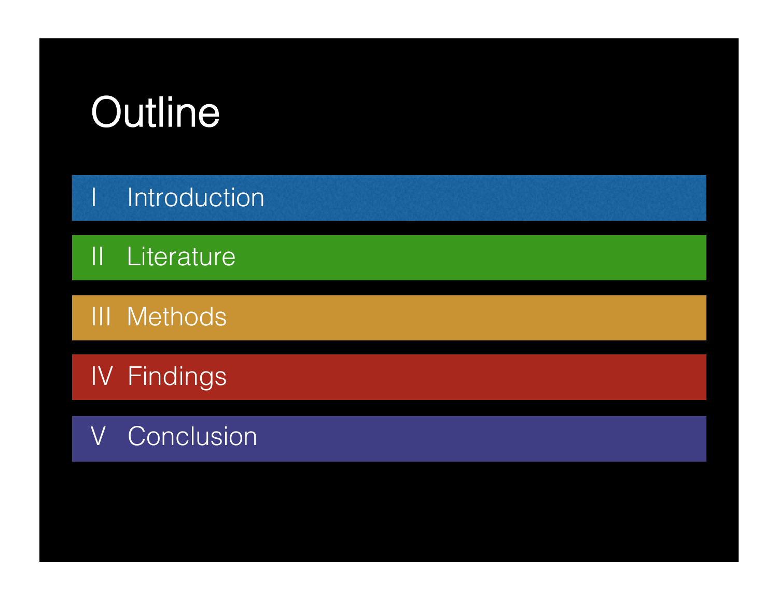

I Introduction

II Literature

III Methods

IV Findings

V Conclusion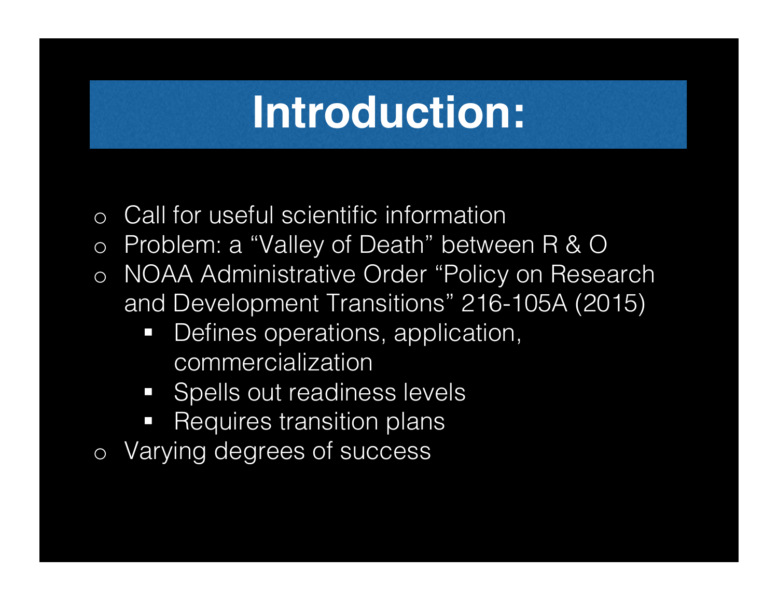- o Call for useful scientific information
- o Problem: a "Valley of Death" between R & O
- o NOAA Administrative Order "Policy on Research and Development Transitions" 216-105A (2015)
	- Defines operations, application, commercialization
	- Spells out readiness levels
	- **Requires transition plans**
- o Varying degrees of success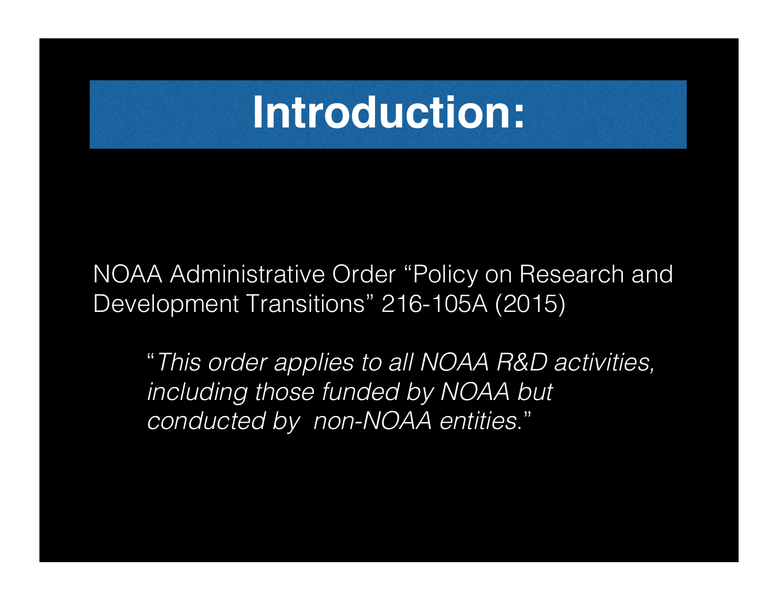NOAA Administrative Order "Policy on Research and Development Transitions" 216-105A (2015)

"*This order applies to all NOAA R&D activities, including those funded by NOAA but conducted by non-NOAA entities*."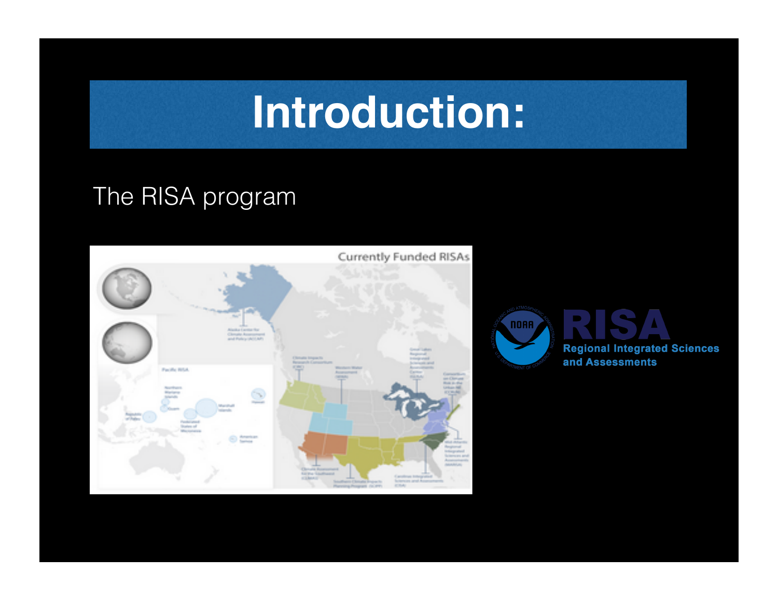#### The RISA program



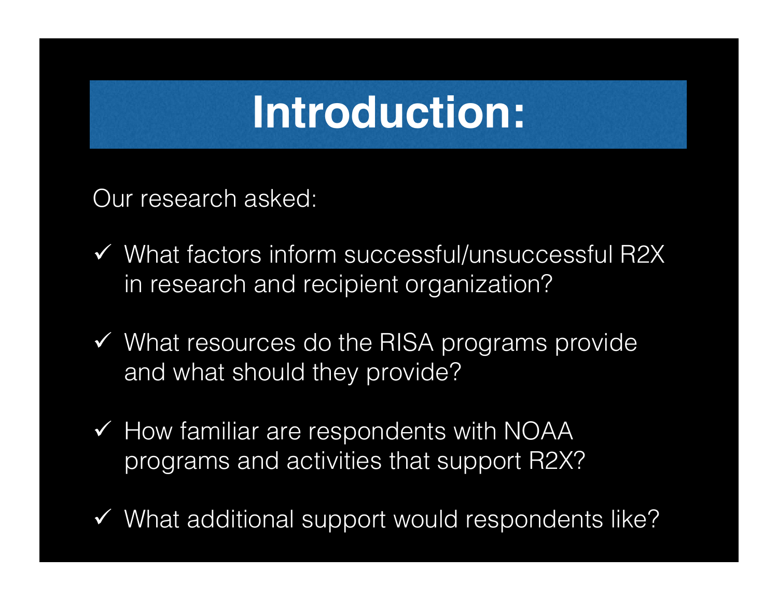Our research asked:

- $\checkmark$  What factors inform successful/unsuccessful R2X in research and recipient organization?
- $\checkmark$  What resources do the RISA programs provide and what should they provide?
- $\checkmark$  How familiar are respondents with NOAA programs and activities that support R2X?
- $\checkmark$  What additional support would respondents like?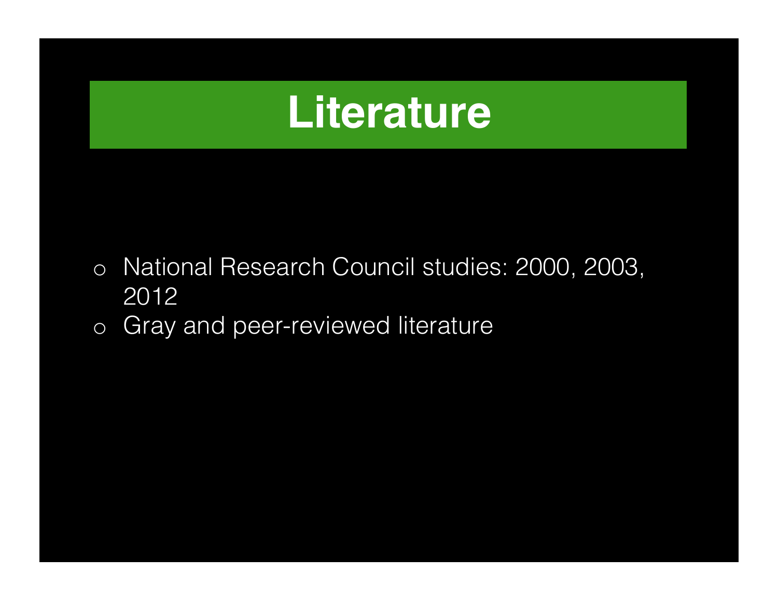### **Literature**

- o National Research Council studies: 2000, 2003, 2012
- o Gray and peer-reviewed literature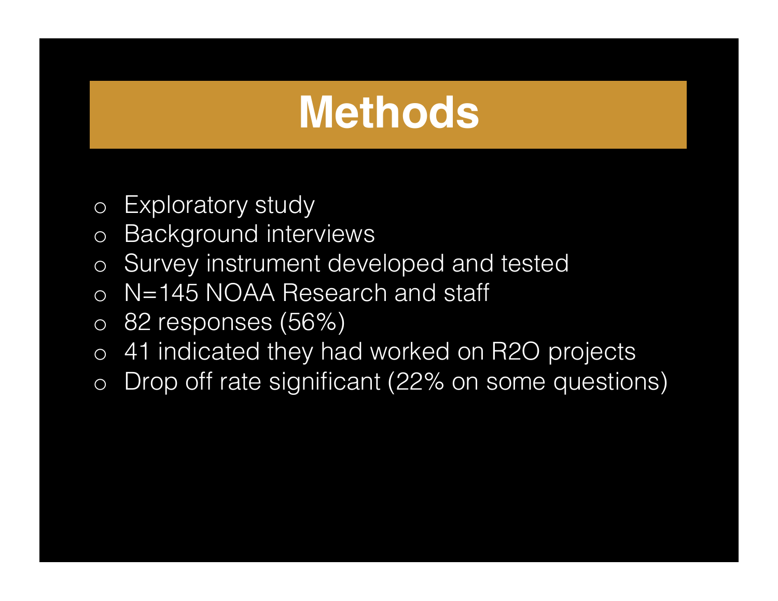### **Methods**

- o Exploratory study
- o Background interviews
- o Survey instrument developed and tested
- o N=145 NOAA Research and staff
- o 82 responses (56%)
- o 41 indicated they had worked on R2O projects
- o Drop off rate significant (22% on some questions)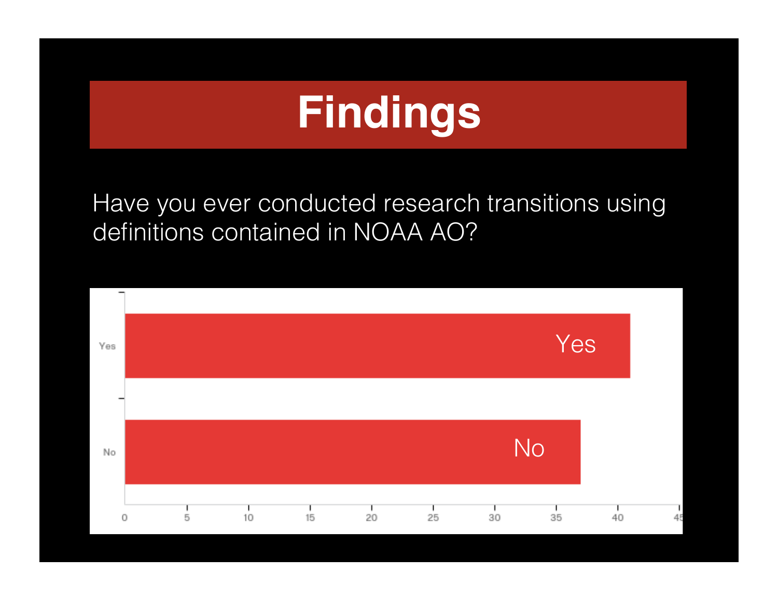Have you ever conducted research transitions using definitions contained in NOAA AO?

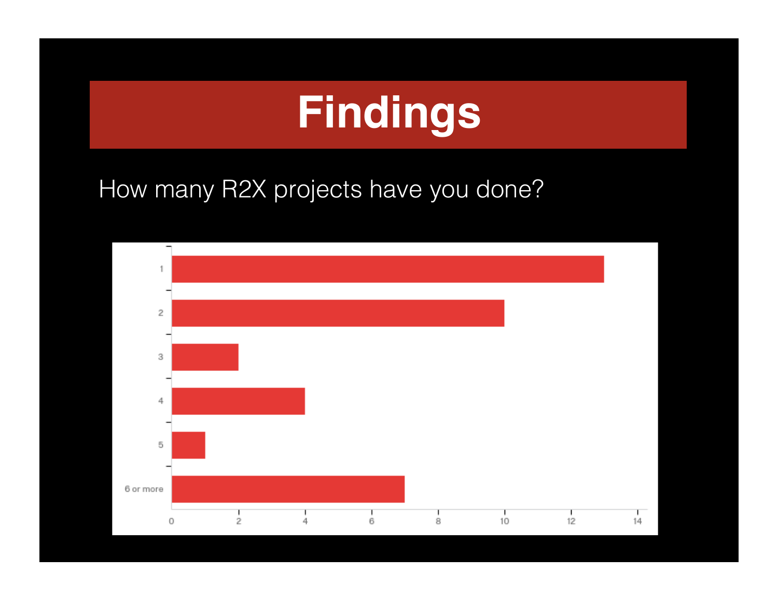How many R2X projects have you done?

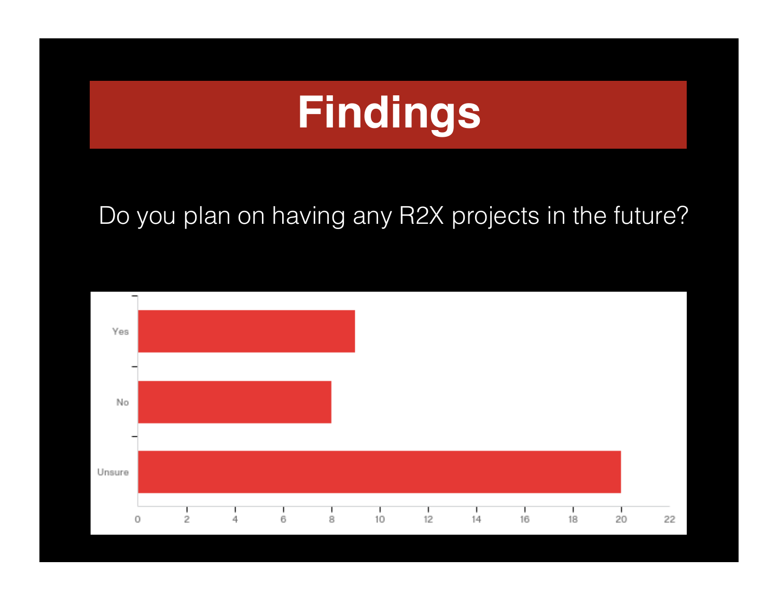#### Do you plan on having any R2X projects in the future?

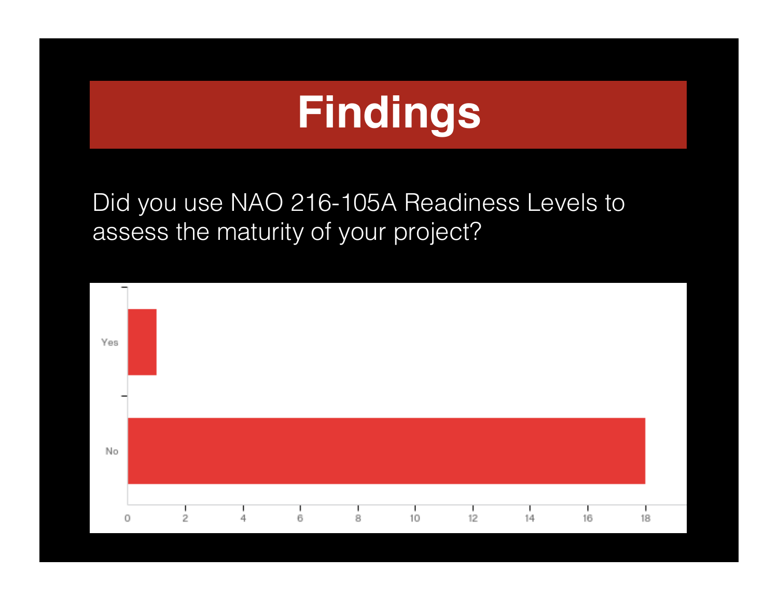Did you use NAO 216-105A Readiness Levels to assess the maturity of your project?

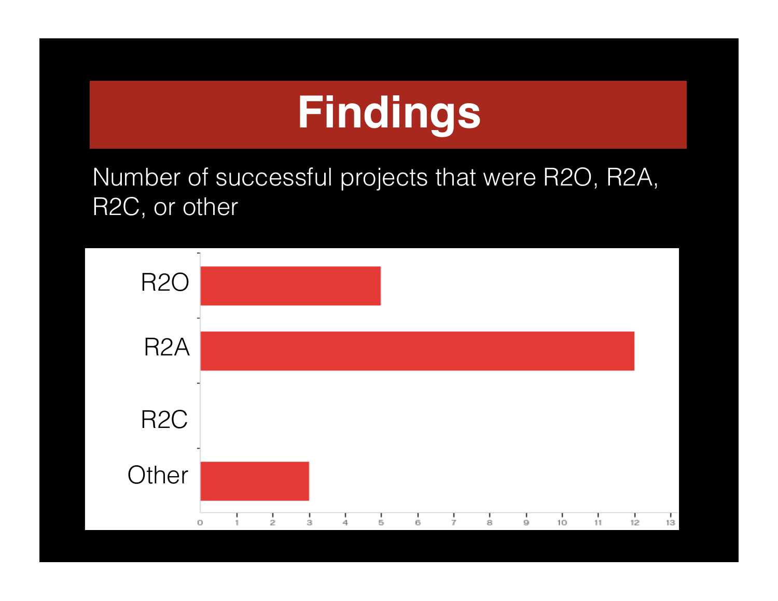

Number of successful projects that were R2O, R2A, R2C, or other

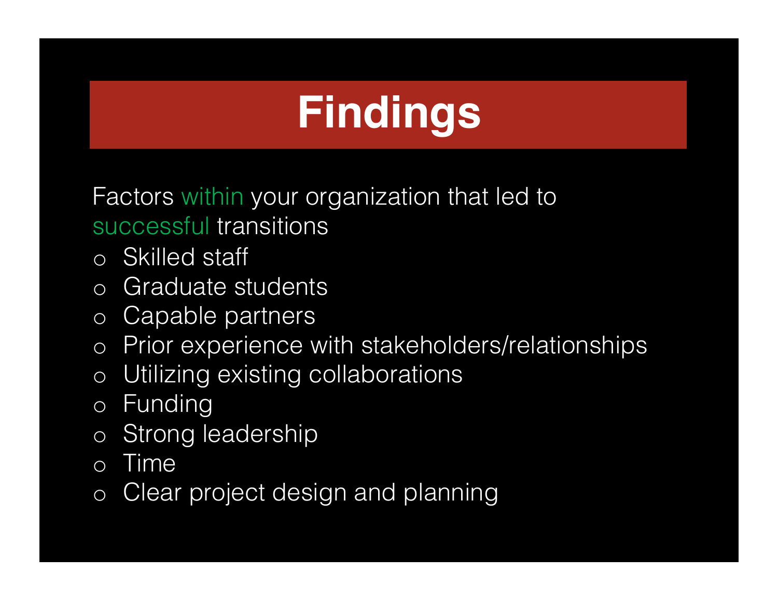Factors within your organization that led to successful transitions

- o Skilled staff
- o Graduate students
- o Capable partners
- o Prior experience with stakeholders/relationships
- o Utilizing existing collaborations
- o Funding
- o Strong leadership
- o Time
- o Clear project design and planning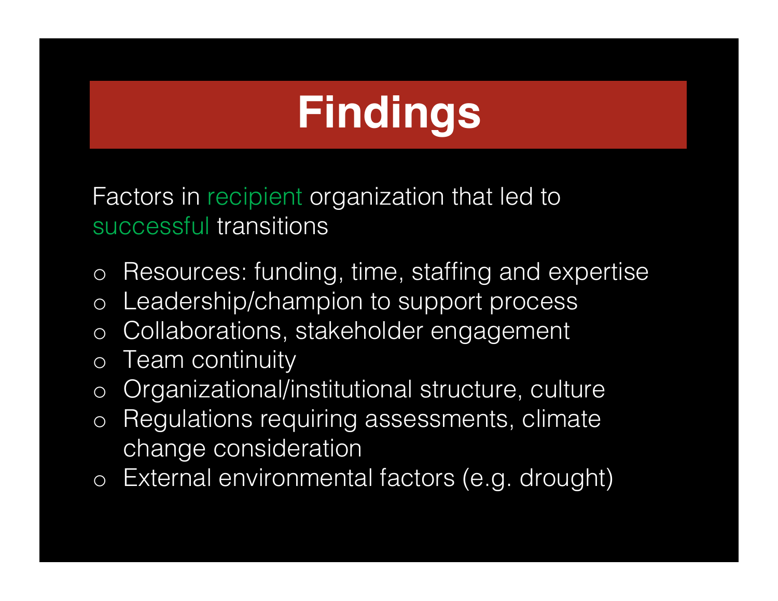Factors in recipient organization that led to successful transitions

- o Resources: funding, time, staffing and expertise
- o Leadership/champion to support process
- o Collaborations, stakeholder engagement
- o Team continuity
- o Organizational/institutional structure, culture
- o Regulations requiring assessments, climate change consideration
- o External environmental factors (e.g. drought)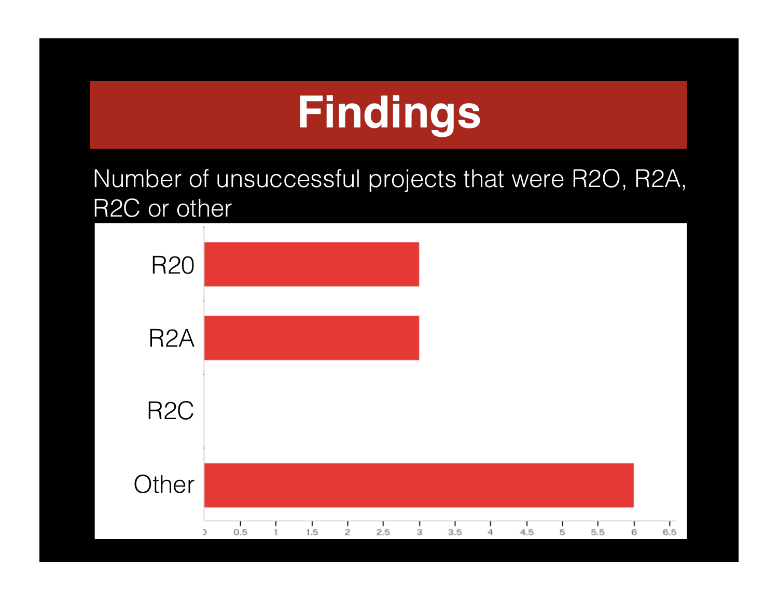Number of unsuccessful projects that were R2O, R2A, R2C or other

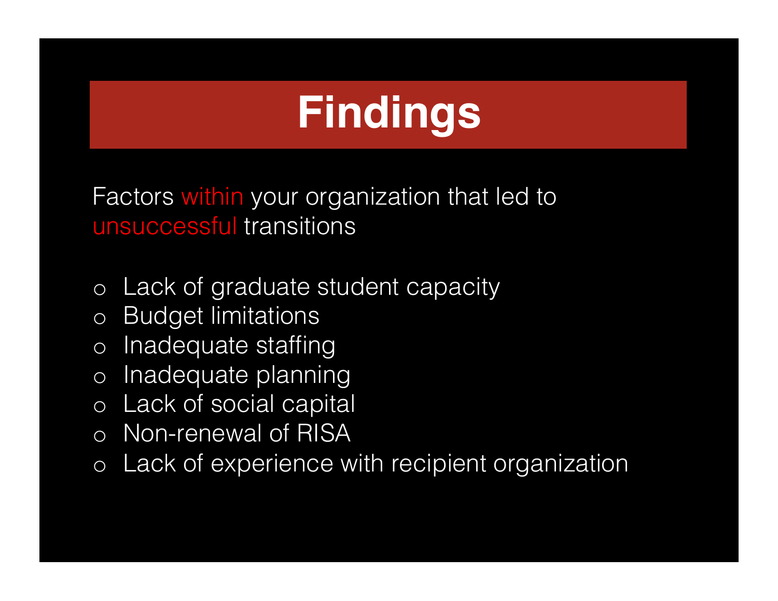Factors within your organization that led to unsuccessful transitions

- o Lack of graduate student capacity
- o Budget limitations
- o Inadequate staffing
- o Inadequate planning
- o Lack of social capital
- o Non-renewal of RISA
- o Lack of experience with recipient organization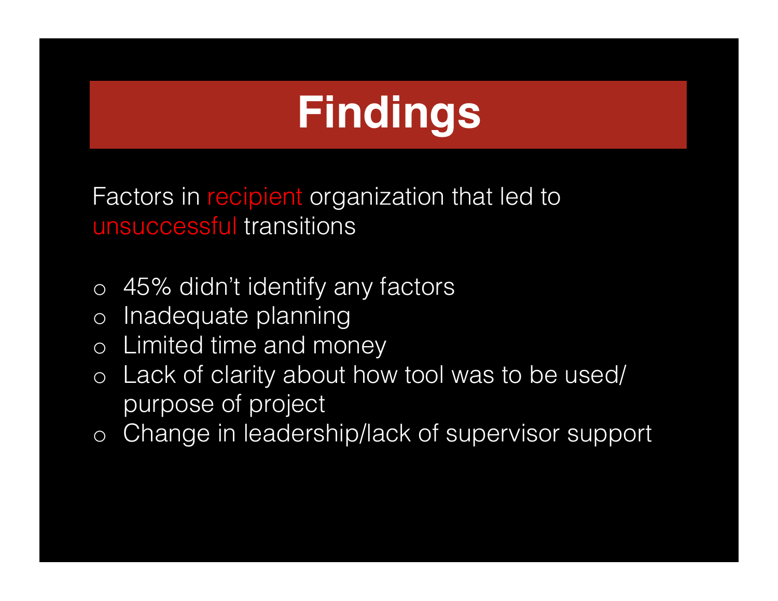Factors in recipient organization that led to unsuccessful transitions

- o 45% didn't identify any factors
- o Inadequate planning
- o Limited time and money
- o Lack of clarity about how tool was to be used/ purpose of project
- o Change in leadership/lack of supervisor support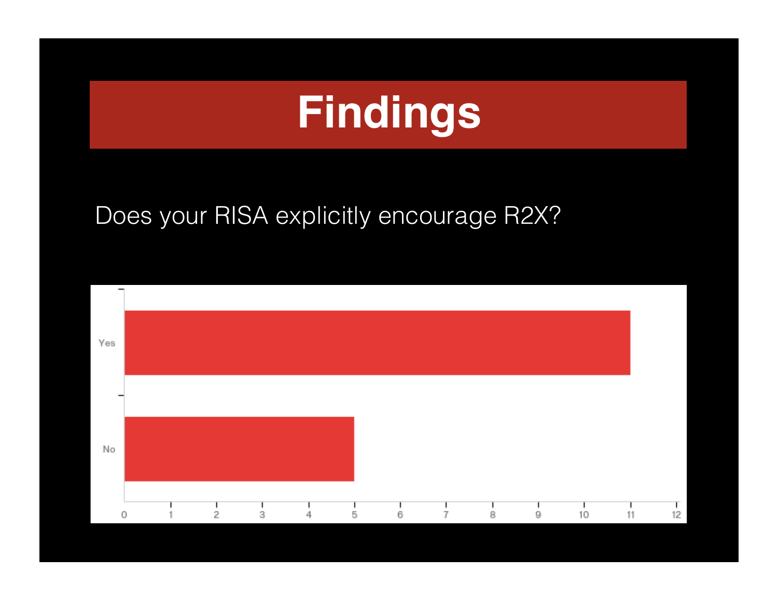#### Does your RISA explicitly encourage R2X?

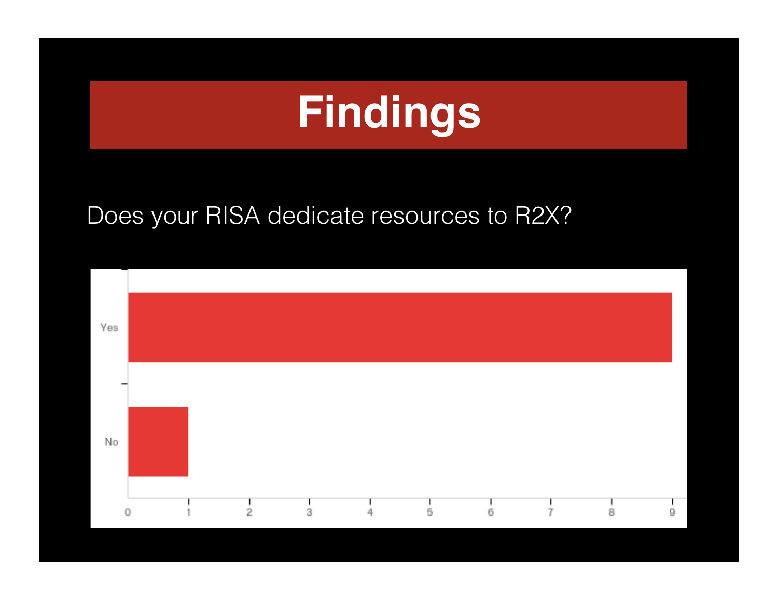#### Does your RISA dedicate resources to R2X?

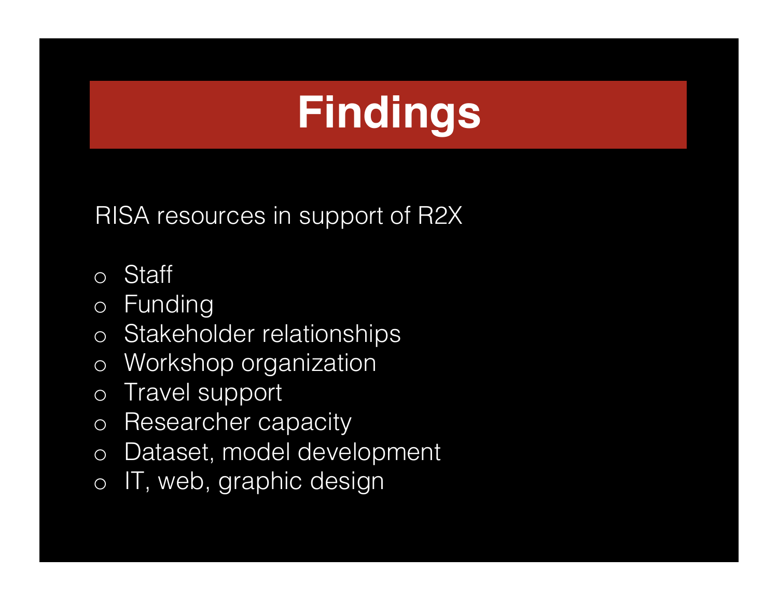RISA resources in support of R2X

- o Staff
- o Funding
- o Stakeholder relationships
- o Workshop organization
- o Travel support
- o Researcher capacity
- o Dataset, model development
- o IT, web, graphic design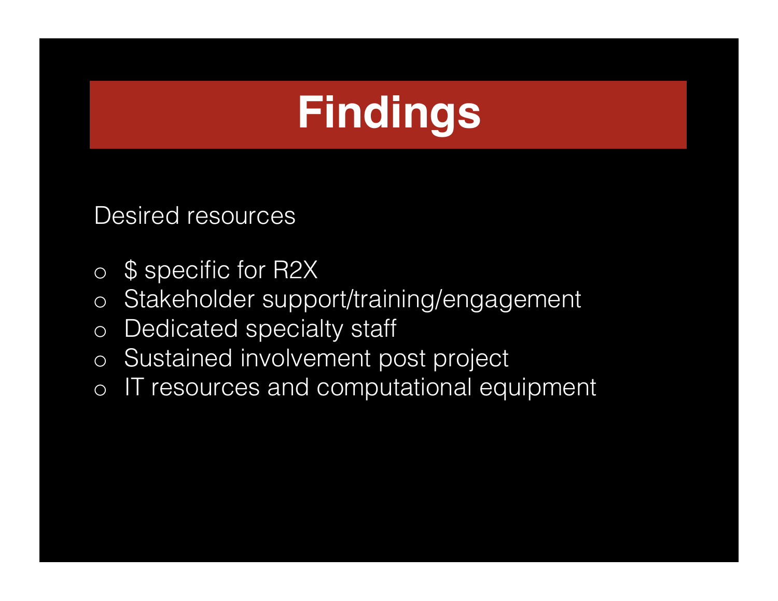Desired resources

- o \$ specific for R2X
- o Stakeholder support/training/engagement
- o Dedicated specialty staff
- o Sustained involvement post project
- o IT resources and computational equipment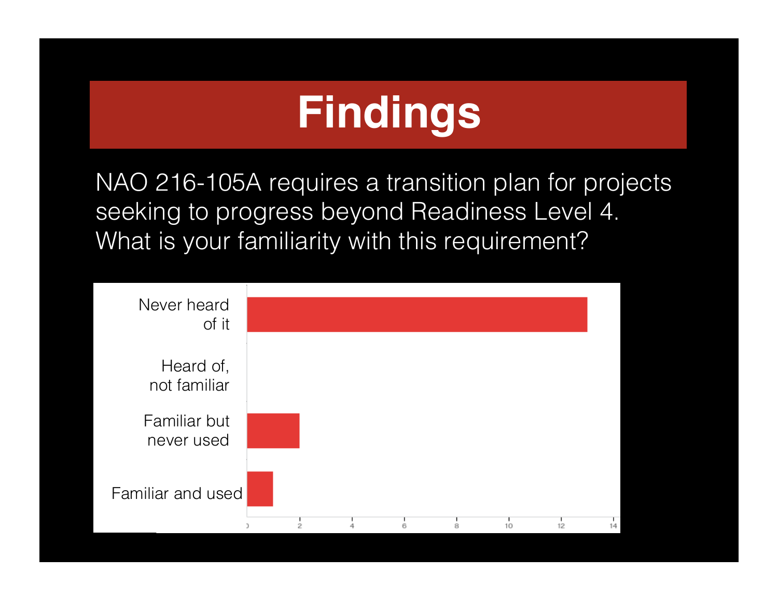NAO 216-105A requires a transition plan for projects seeking to progress beyond Readiness Level 4. What is your familiarity with this requirement?

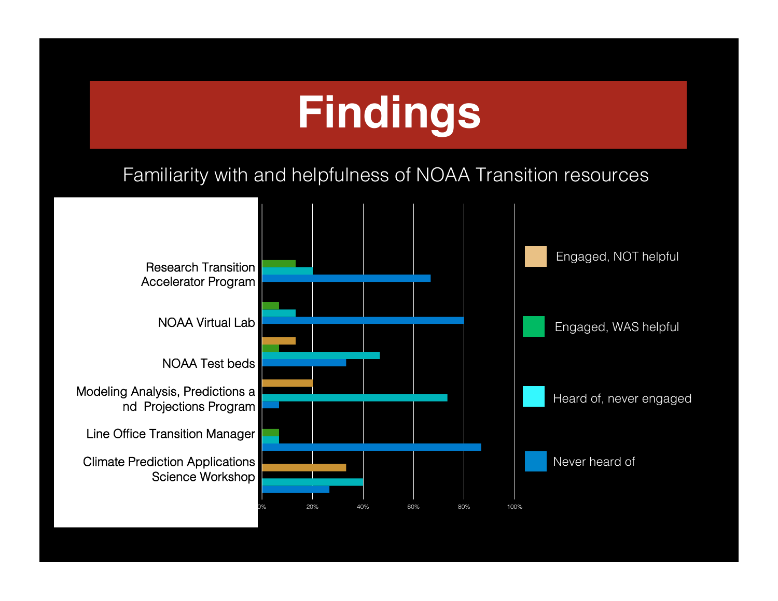#### Familiarity with and helpfulness of NOAA Familiarity with and helpfulness of NOAA Transition resources

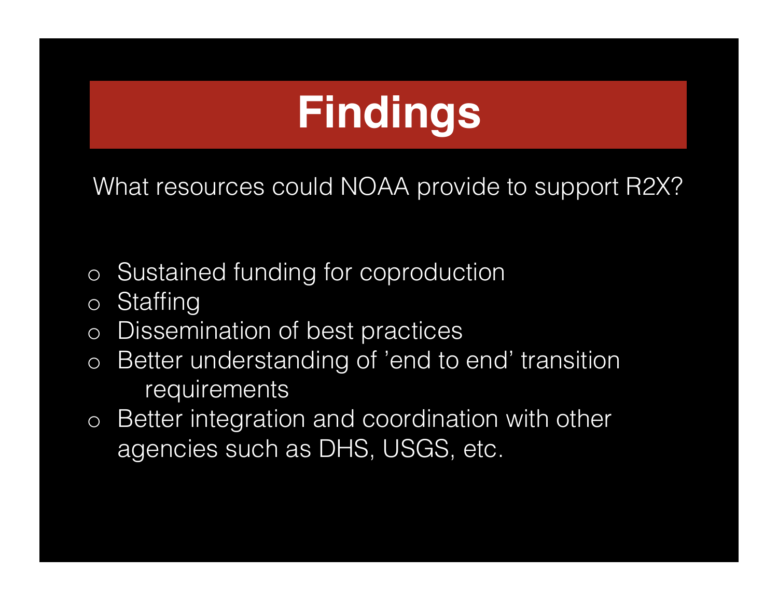What resources could NOAA provide to support R2X?

- o Sustained funding for coproduction
- o Staffing
- o Dissemination of best practices
- o Better understanding of 'end to end' transition requirements
- o Better integration and coordination with other agencies such as DHS, USGS, etc.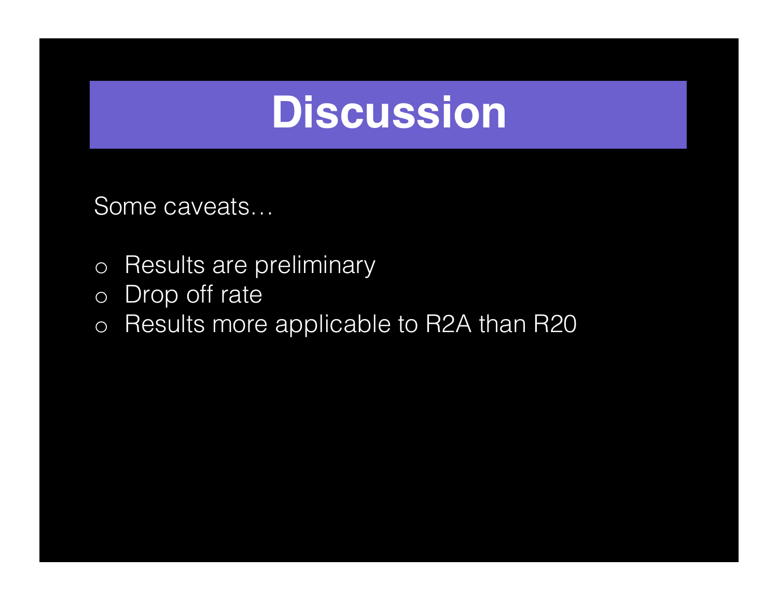Some caveats…

- o Results are preliminary
- o Drop off rate
- o Results more applicable to R2A than R20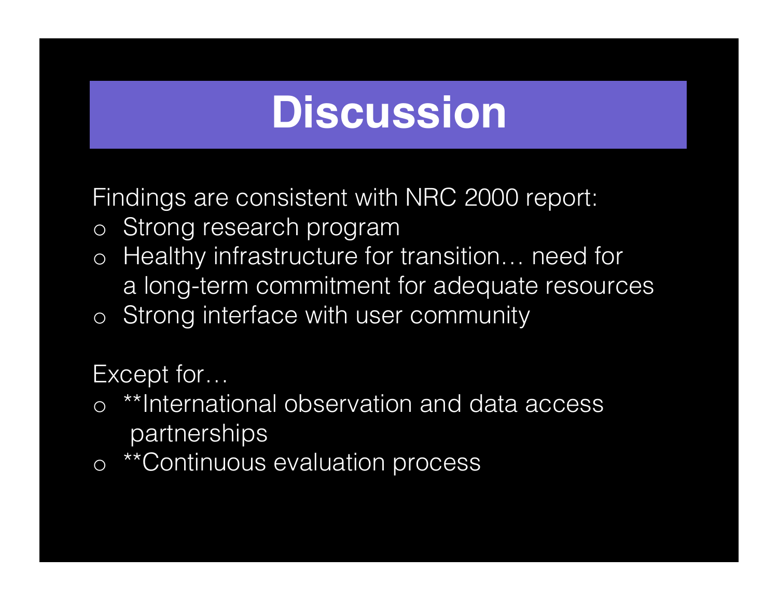Findings are consistent with NRC 2000 report:

- o Strong research program
- o Healthy infrastructure for transition… need for a long-term commitment for adequate resources
- o Strong interface with user community

Except for…

- o \*\*International observation and data access partnerships
- o \*\*Continuous evaluation process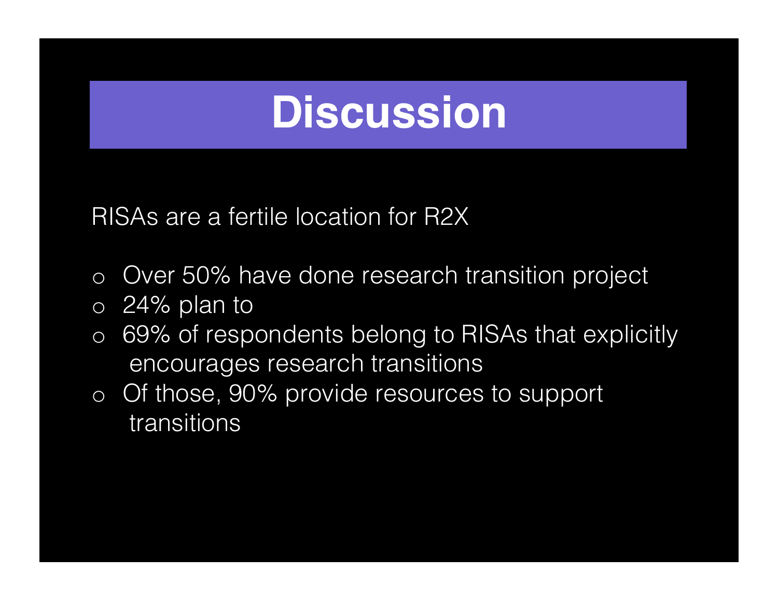RISAs are a fertile location for R2X

- o Over 50% have done research transition project
- o 24% plan to
- o 69% of respondents belong to RISAs that explicitly encourages research transitions
- o Of those, 90% provide resources to support transitions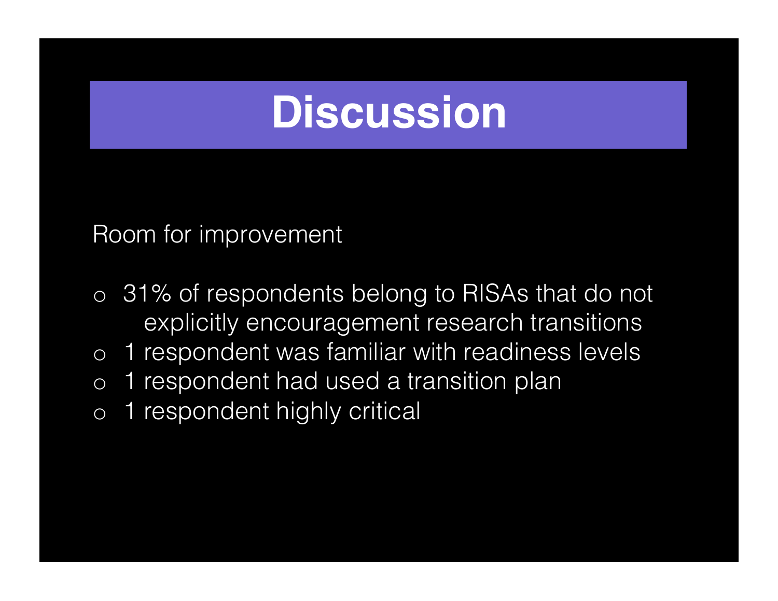Room for improvement

- o 31% of respondents belong to RISAs that do not explicitly encouragement research transitions
- o 1 respondent was familiar with readiness levels
- o 1 respondent had used a transition plan
- o 1 respondent highly critical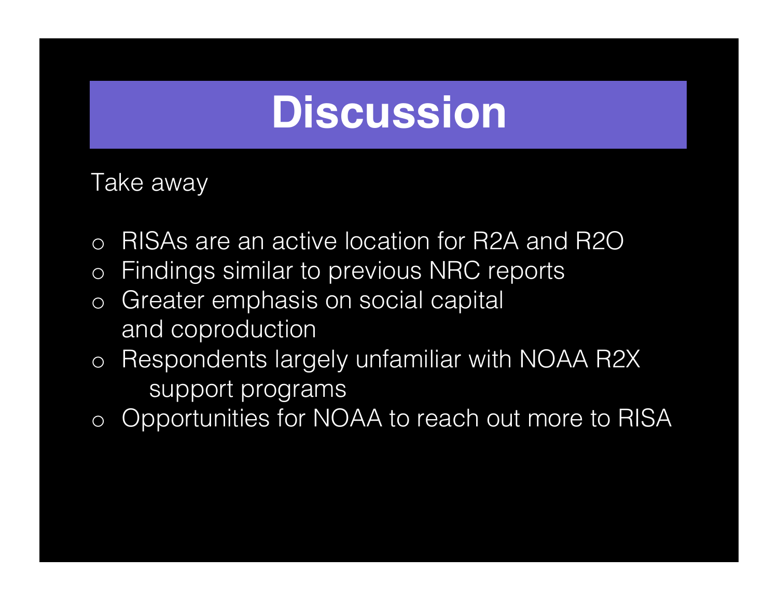Take away

- o RISAs are an active location for R2A and R2O
- o Findings similar to previous NRC reports
- o Greater emphasis on social capital and coproduction
- o Respondents largely unfamiliar with NOAA R2X support programs
- o Opportunities for NOAA to reach out more to RISA